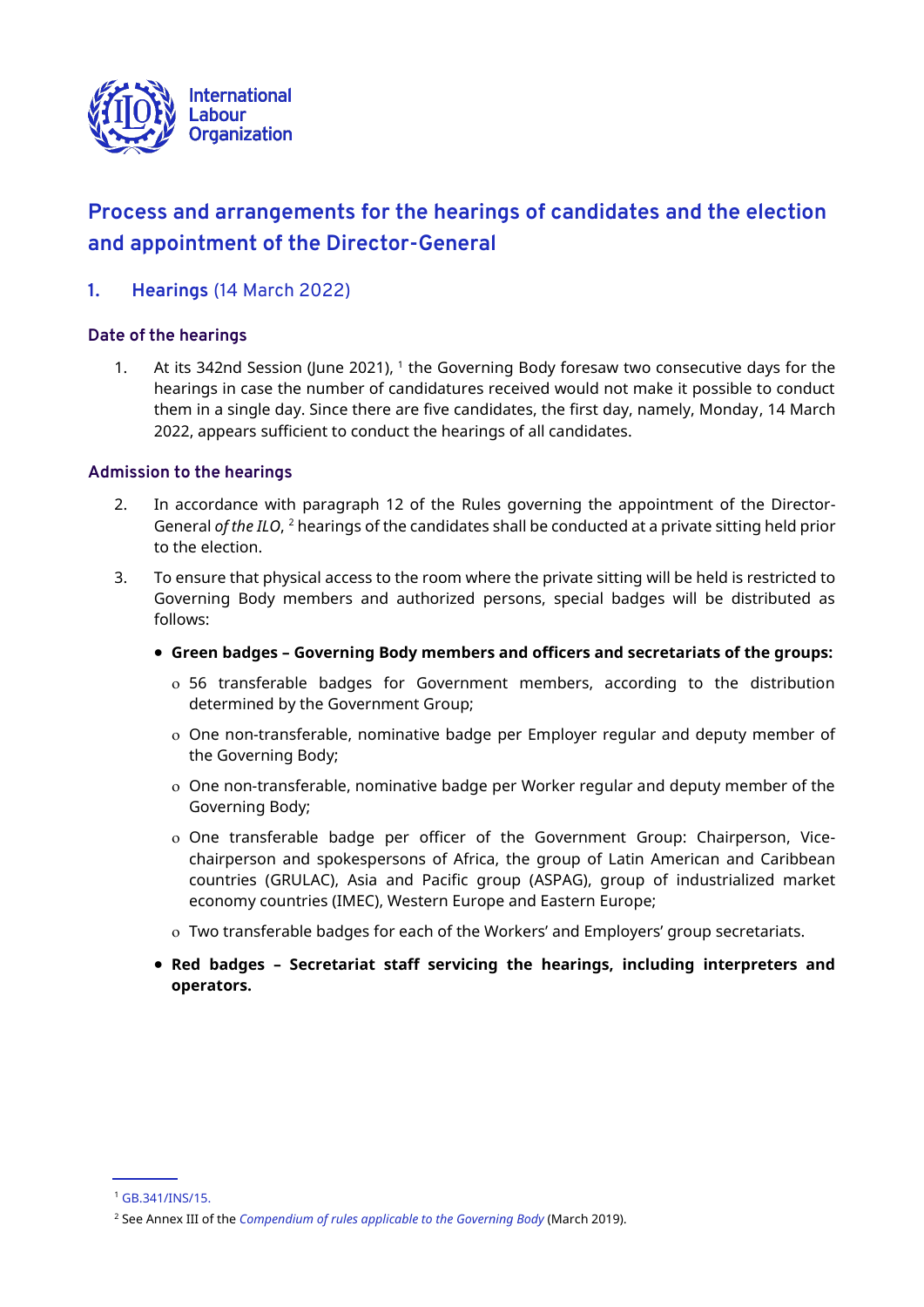

# **Process and arrangements for the hearings of candidates and the election and appointment of the Director-General**

**1. Hearings** (14 March 2022)

## **Date of the hearings**

1. At its 342nd Session (June 2021), 1 the Governing Body foresaw two consecutive days for the hearings in case the number of candidatures received would not make it possible to conduct them in a single day. Since there are five candidates, the first day, namely, Monday, 14 March 2022, appears sufficient to conduct the hearings of all candidates.

#### **Admission to the hearings**

- 2. In accordance with paragraph 12 of the Rules governing the appointment of the Director-General *of the ILO*, <sup>2</sup> hearings of the candidates shall be conducted at a private sitting held prior to the election.
- 3. To ensure that physical access to the room where the private sitting will be held is restricted to Governing Body members and authorized persons, special badges will be distributed as follows:
	- **Green badges – Governing Body members and officers and secretariats of the groups:**
		- 56 transferable badges for Government members, according to the distribution determined by the Government Group;
		- One non-transferable, nominative badge per Employer regular and deputy member of the Governing Body;
		- One non-transferable, nominative badge per Worker regular and deputy member of the Governing Body;
		- One transferable badge per officer of the Government Group: Chairperson, Vicechairperson and spokespersons of Africa, the group of Latin American and Caribbean countries (GRULAC), Asia and Pacific group (ASPAG), group of industrialized market economy countries (IMEC), Western Europe and Eastern Europe;
		- Two transferable badges for each of the Workers' and Employers' group secretariats.
	- **Red badges – Secretariat staff servicing the hearings, including interpreters and operators.**

<sup>1</sup> [GB.341/INS/15.](https://www.ilo.org/wcmsp5/groups/public/@ed_norm/@relconf/documents/meetingdocument/wcms_771245.pdf)

<sup>2</sup> See Annex III of the *[Compendium of rules applicable to the Governing Body](https://www.ilo.org/wcmsp5/groups/public/---ed_norm/---relconf/documents/meetingdocument/wcms_586687.pdf)* (March 2019).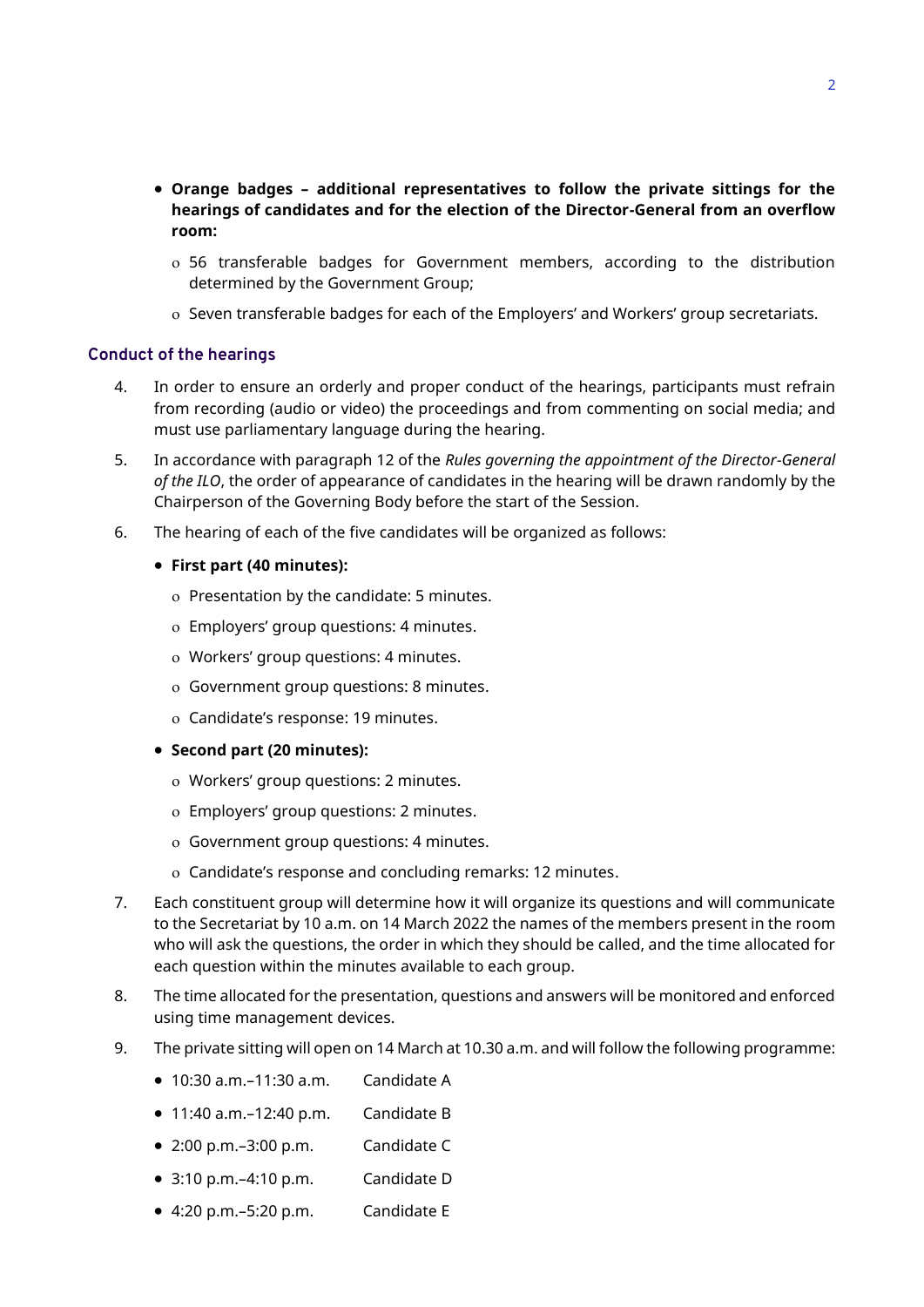- **Orange badges – additional representatives to follow the private sittings for the hearings of candidates and for the election of the Director-General from an overflow room:**
	- 56 transferable badges for Government members, according to the distribution determined by the Government Group;
	- o Seven transferable badges for each of the Employers' and Workers' group secretariats.

#### **Conduct of the hearings**

- 4. In order to ensure an orderly and proper conduct of the hearings, participants must refrain from recording (audio or video) the proceedings and from commenting on social media; and must use parliamentary language during the hearing.
- 5. In accordance with paragraph 12 of the *Rules governing the appointment of the Director-General of the ILO*, the order of appearance of candidates in the hearing will be drawn randomly by the Chairperson of the Governing Body before the start of the Session.
- 6. The hearing of each of the five candidates will be organized as follows:
	- **First part (40 minutes):**
		- Presentation by the candidate: 5 minutes.
		- Employers' group questions: 4 minutes.
		- Workers' group questions: 4 minutes.
		- Government group questions: 8 minutes.
		- Candidate's response: 19 minutes.
	- **Second part (20 minutes):**
		- Workers' group questions: 2 minutes.
		- Employers' group questions: 2 minutes.
		- Government group questions: 4 minutes.
		- Candidate's response and concluding remarks: 12 minutes.
- 7. Each constituent group will determine how it will organize its questions and will communicate to the Secretariat by 10 a.m. on 14 March 2022 the names of the members present in the room who will ask the questions, the order in which they should be called, and the time allocated for each question within the minutes available to each group.
- 8. The time allocated for the presentation, questions and answers will be monitored and enforced using time management devices.
- 9. The private sitting will open on 14 March at 10.30 a.m. and will follow the following programme:
	- $\bullet$  10:30 a.m. $-11:30$  a.m. Candidate A
	- 11:40 a.m.–12:40 p.m. Candidate B
	- 2:00 p.m.–3:00 p.m. Candidate C
	- 3:10 p.m.–4:10 p.m. Candidate D
	- 4:20 p.m.–5:20 p.m. Candidate E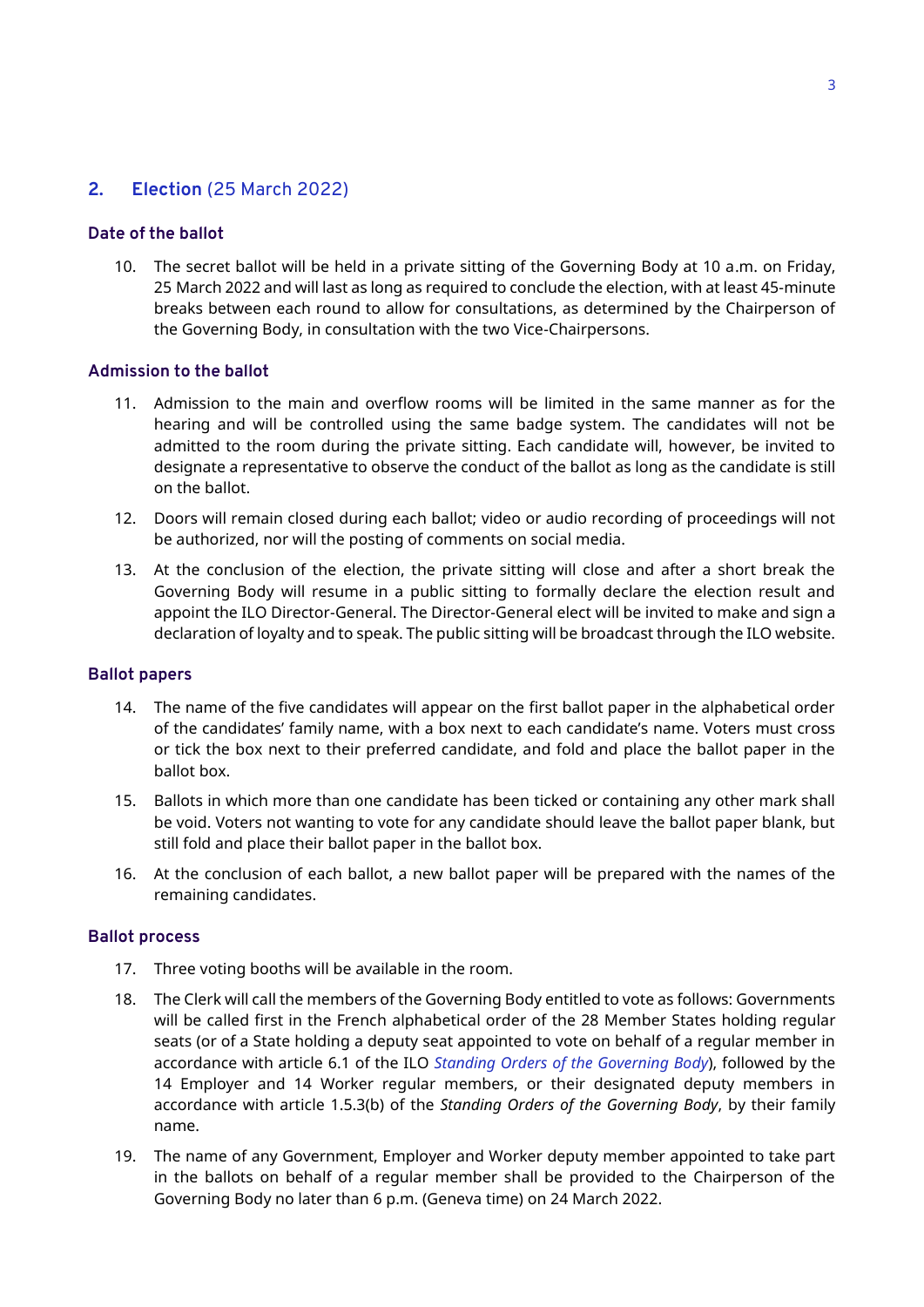# **2. Election** (25 March 2022)

## **Date of the ballot**

10. The secret ballot will be held in a private sitting of the Governing Body at 10 a.m. on Friday, 25 March 2022 and will last as long as required to conclude the election, with at least 45-minute breaks between each round to allow for consultations, as determined by the Chairperson of the Governing Body, in consultation with the two Vice-Chairpersons.

#### **Admission to the ballot**

- 11. Admission to the main and overflow rooms will be limited in the same manner as for the hearing and will be controlled using the same badge system. The candidates will not be admitted to the room during the private sitting. Each candidate will, however, be invited to designate a representative to observe the conduct of the ballot as long as the candidate is still on the ballot.
- 12. Doors will remain closed during each ballot; video or audio recording of proceedings will not be authorized, nor will the posting of comments on social media.
- 13. At the conclusion of the election, the private sitting will close and after a short break the Governing Body will resume in a public sitting to formally declare the election result and appoint the ILO Director-General. The Director-General elect will be invited to make and sign a declaration of loyalty and to speak. The public sitting will be broadcast through the ILO website.

#### **Ballot papers**

- 14. The name of the five candidates will appear on the first ballot paper in the alphabetical order of the candidates' family name, with a box next to each candidate's name. Voters must cross or tick the box next to their preferred candidate, and fold and place the ballot paper in the ballot box.
- 15. Ballots in which more than one candidate has been ticked or containing any other mark shall be void. Voters not wanting to vote for any candidate should leave the ballot paper blank, but still fold and place their ballot paper in the ballot box.
- 16. At the conclusion of each ballot, a new ballot paper will be prepared with the names of the remaining candidates.

#### **Ballot process**

- 17. Three voting booths will be available in the room.
- 18. The Clerk will call the members of the Governing Body entitled to vote as follows: Governments will be called first in the French alphabetical order of the 28 Member States holding regular seats (or of a State holding a deputy seat appointed to vote on behalf of a regular member in accordance with article 6.1 of the ILO *[Standing Orders of the Governing Body](https://www.ilo.org/wcmsp5/groups/public/---ed_norm/---relconf/documents/meetingdocument/wcms_586687.pdf)*), followed by the 14 Employer and 14 Worker regular members, or their designated deputy members in accordance with article 1.5.3(b) of the *Standing Orders of the Governing Body*, by their family name.
- 19. The name of any Government, Employer and Worker deputy member appointed to take part in the ballots on behalf of a regular member shall be provided to the Chairperson of the Governing Body no later than 6 p.m. (Geneva time) on 24 March 2022.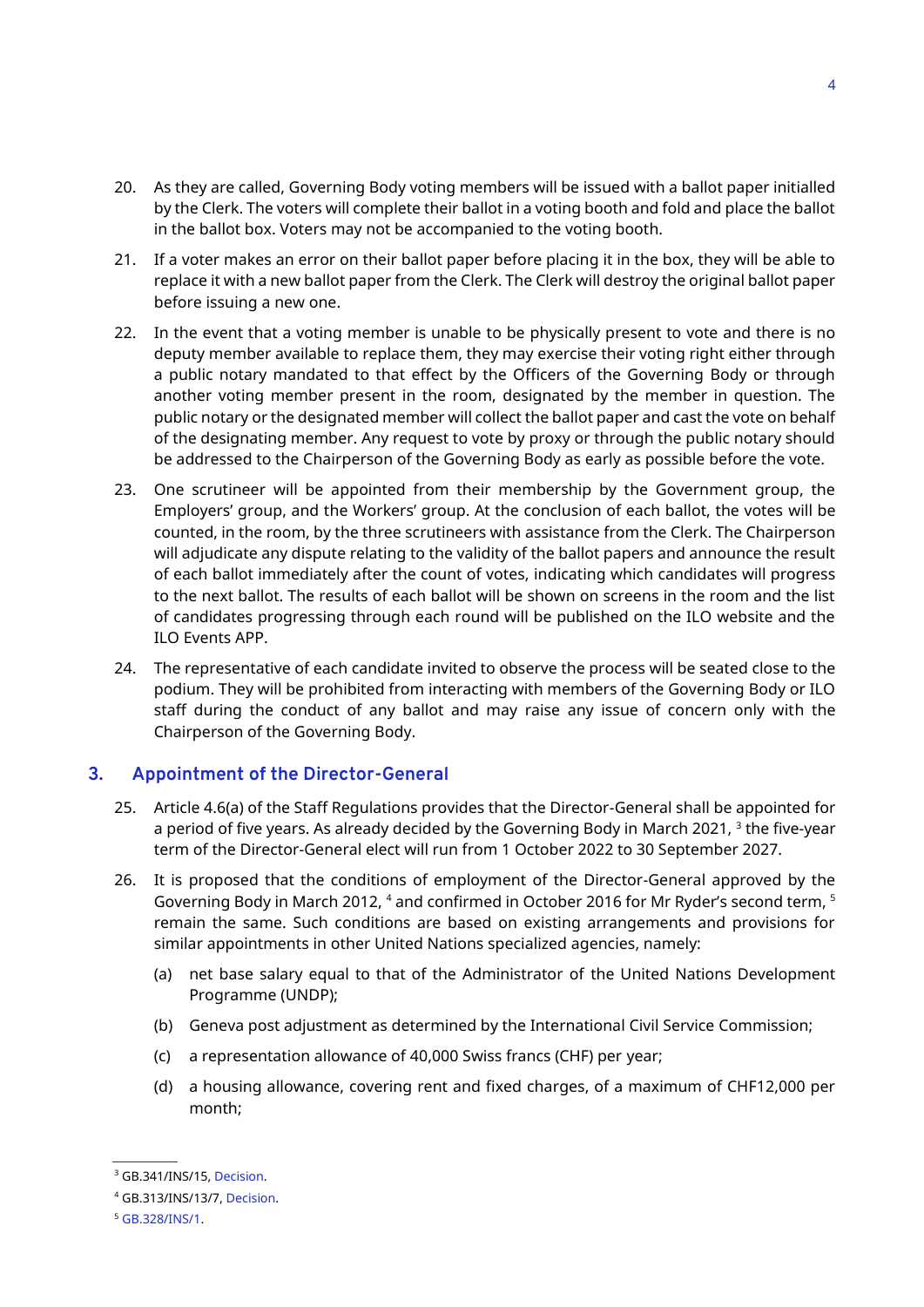- 20. As they are called, Governing Body voting members will be issued with a ballot paper initialled by the Clerk. The voters will complete their ballot in a voting booth and fold and place the ballot in the ballot box. Voters may not be accompanied to the voting booth.
- 21. If a voter makes an error on their ballot paper before placing it in the box, they will be able to replace it with a new ballot paper from the Clerk. The Clerk will destroy the original ballot paper before issuing a new one.
- 22. In the event that a voting member is unable to be physically present to vote and there is no deputy member available to replace them, they may exercise their voting right either through a public notary mandated to that effect by the Officers of the Governing Body or through another voting member present in the room, designated by the member in question. The public notary or the designated member will collect the ballot paper and cast the vote on behalf of the designating member. Any request to vote by proxy or through the public notary should be addressed to the Chairperson of the Governing Body as early as possible before the vote.
- 23. One scrutineer will be appointed from their membership by the Government group, the Employers' group, and the Workers' group. At the conclusion of each ballot, the votes will be counted, in the room, by the three scrutineers with assistance from the Clerk. The Chairperson will adjudicate any dispute relating to the validity of the ballot papers and announce the result of each ballot immediately after the count of votes, indicating which candidates will progress to the next ballot. The results of each ballot will be shown on screens in the room and the list of candidates progressing through each round will be published on the ILO website and the ILO Events APP.
- 24. The representative of each candidate invited to observe the process will be seated close to the podium. They will be prohibited from interacting with members of the Governing Body or ILO staff during the conduct of any ballot and may raise any issue of concern only with the Chairperson of the Governing Body.

## **3. Appointment of the Director-General**

- 25. Article 4.6(a) of the Staff Regulations provides that the Director-General shall be appointed for a period of five years. As already decided by the Governing Body in March 2021, <sup>3</sup> the five-year term of the Director-General elect will run from 1 October 2022 to 30 September 2027.
- 26. It is proposed that the conditions of employment of the Director-General approved by the Governing Body in March 2012, <sup>4</sup> and confirmed in October 2016 for Mr Ryder's second term, <sup>5</sup> remain the same. Such conditions are based on existing arrangements and provisions for similar appointments in other United Nations specialized agencies, namely:
	- (a) net base salary equal to that of the Administrator of the United Nations Development Programme (UNDP);
	- (b) Geneva post adjustment as determined by the International Civil Service Commission;
	- (c) a representation allowance of 40,000 Swiss francs (CHF) per year;
	- (d) a housing allowance, covering rent and fixed charges, of a maximum of CHF12,000 per month;

<sup>&</sup>lt;sup>3</sup> GB.341/INS/15[, Decision.](https://www.ilo.org/gb/GBSessions/GB341/ins/WCMS_776759/lang--en/index.htm)

<sup>4</sup> GB.313/INS/13/7[, Decision.](https://www.ilo.org/gb/decisions/GB313-decision/WCMS_176651/lang--en/index.htm)

<sup>5</sup> [GB.328/INS/1.](https://www.ilo.org/wcmsp5/groups/public/---ed_norm/---relconf/documents/meetingdocument/wcms_528147.pdf)